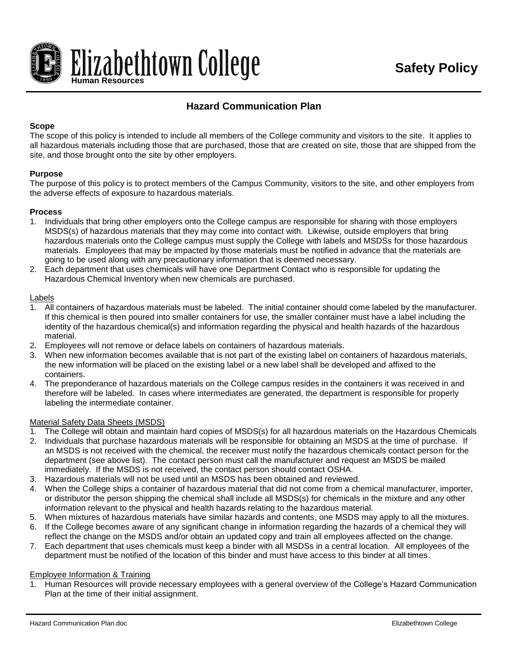

# **Hazard Communication Plan**

#### **Scope**

The scope of this policy is intended to include all members of the College community and visitors to the site. It applies to all hazardous materials including those that are purchased, those that are created on site, those that are shipped from the site, and those brought onto the site by other employers.

#### **Purpose**

The purpose of this policy is to protect members of the Campus Community, visitors to the site, and other employers from the adverse effects of exposure to hazardous materials.

#### **Process**

- 1. Individuals that bring other employers onto the College campus are responsible for sharing with those employers MSDS(s) of hazardous materials that they may come into contact with. Likewise, outside employers that bring hazardous materials onto the College campus must supply the College with labels and MSDSs for those hazardous materials. Employees that may be impacted by those materials must be notified in advance that the materials are going to be used along with any precautionary information that is deemed necessary.
- 2. Each department that uses chemicals will have one Department Contact who is responsible for updating the Hazardous Chemical Inventory when new chemicals are purchased.

#### Labels

- 1. All containers of hazardous materials must be labeled. The initial container should come labeled by the manufacturer. If this chemical is then poured into smaller containers for use, the smaller container must have a label including the identity of the hazardous chemical(s) and information regarding the physical and health hazards of the hazardous material.
- 2. Employees will not remove or deface labels on containers of hazardous materials.
- 3. When new information becomes available that is not part of the existing label on containers of hazardous materials, the new information will be placed on the existing label or a new label shall be developed and affixed to the containers.
- 4. The preponderance of hazardous materials on the College campus resides in the containers it was received in and therefore will be labeled. In cases where intermediates are generated, the department is responsible for properly labeling the intermediate container.

#### Material Safety Data Sheets (MSDS)

- 1. The College will obtain and maintain hard copies of MSDS(s) for all hazardous materials on the Hazardous Chemicals
- 2. Individuals that purchase hazardous materials will be responsible for obtaining an MSDS at the time of purchase. If an MSDS is not received with the chemical, the receiver must notify the hazardous chemicals contact person for the department (see above list). The contact person must call the manufacturer and request an MSDS be mailed immediately. If the MSDS is not received, the contact person should contact OSHA.
- 3. Hazardous materials will not be used until an MSDS has been obtained and reviewed.
- 4. When the College ships a container of hazardous material that did not come from a chemical manufacturer, importer, or distributor the person shipping the chemical shall include all MSDS(s) for chemicals in the mixture and any other information relevant to the physical and health hazards relating to the hazardous material.
- 5. When mixtures of hazardous materials have similar hazards and contents, one MSDS may apply to all the mixtures.
- 6. If the College becomes aware of any significant change in information regarding the hazards of a chemical they will reflect the change on the MSDS and/or obtain an updated copy and train all employees affected on the change.
- 7. Each department that uses chemicals must keep a binder with all MSDSs in a central location. All employees of the department must be notified of the location of this binder and must have access to this binder at all times.

#### Employee Information & Training

1. Human Resources will provide necessary employees with a general overview of the College's Hazard Communication Plan at the time of their initial assignment.